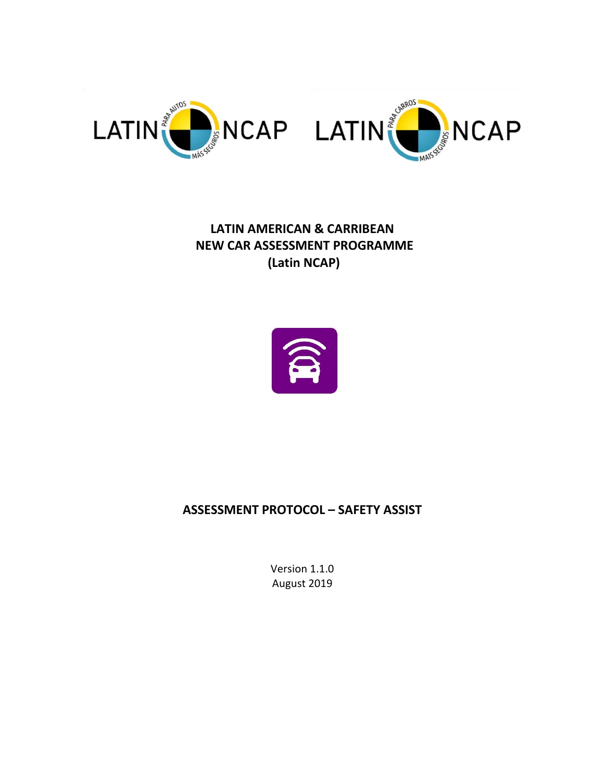

# **LATIN AMERICAN & CARRIBEAN NEW CAR ASSESSMENT PROGRAMME (Latin NCAP)**



# **ASSESSMENT PROTOCOL – SAFETY ASSIST**

Version 1.1.0 August 2019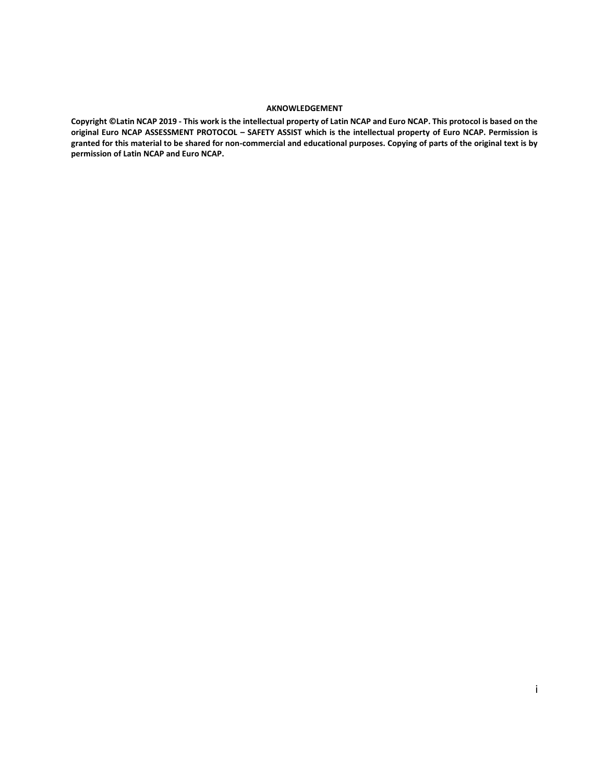#### **AKNOWLEDGEMENT**

**Copyright ©Latin NCAP 2019 - This work is the intellectual property of Latin NCAP and Euro NCAP. This protocol is based on the original Euro NCAP ASSESSMENT PROTOCOL – SAFETY ASSIST which is the intellectual property of Euro NCAP. Permission is granted for this material to be shared for non-commercial and educational purposes. Copying of parts of the original text is by permission of Latin NCAP and Euro NCAP.**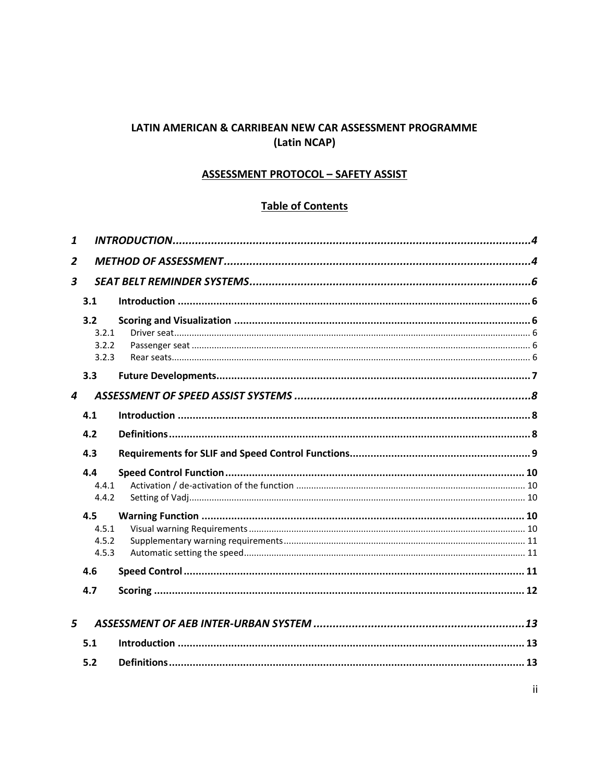# LATIN AMERICAN & CARRIBEAN NEW CAR ASSESSMENT PROGRAMME (Latin NCAP)

#### **ASSESSMENT PROTOCOL - SAFETY ASSIST**

# **Table of Contents**

| 1              |                                |  |  |  |  |
|----------------|--------------------------------|--|--|--|--|
| $\overline{2}$ |                                |  |  |  |  |
| 3              |                                |  |  |  |  |
|                | 3.1                            |  |  |  |  |
|                | 3.2<br>3.2.1<br>3.2.2<br>3.2.3 |  |  |  |  |
|                | 3.3                            |  |  |  |  |
| 4              |                                |  |  |  |  |
|                | 4.1                            |  |  |  |  |
|                | 4.2                            |  |  |  |  |
|                | 4.3                            |  |  |  |  |
|                | 4.4<br>4.4.1<br>4.4.2          |  |  |  |  |
|                | 4.5<br>4.5.1<br>4.5.2<br>4.5.3 |  |  |  |  |
|                | 4.6                            |  |  |  |  |
|                | 4.7                            |  |  |  |  |
| 5              |                                |  |  |  |  |
|                | 5.1                            |  |  |  |  |
|                |                                |  |  |  |  |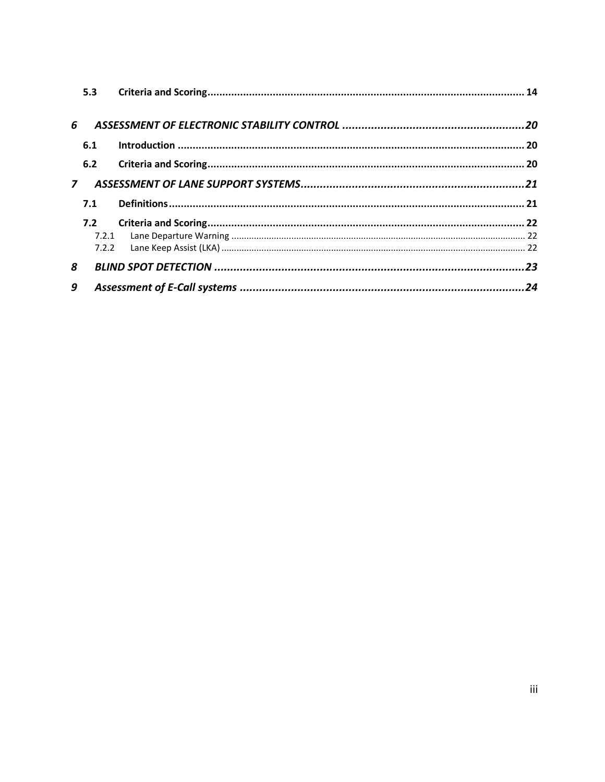|                | 5.3 |  |
|----------------|-----|--|
|                |     |  |
| 6              |     |  |
|                | 6.1 |  |
|                | 6.2 |  |
| $\overline{z}$ |     |  |
|                | 7.1 |  |
|                | 7.2 |  |
|                |     |  |
|                |     |  |
| 8              |     |  |
| 9              |     |  |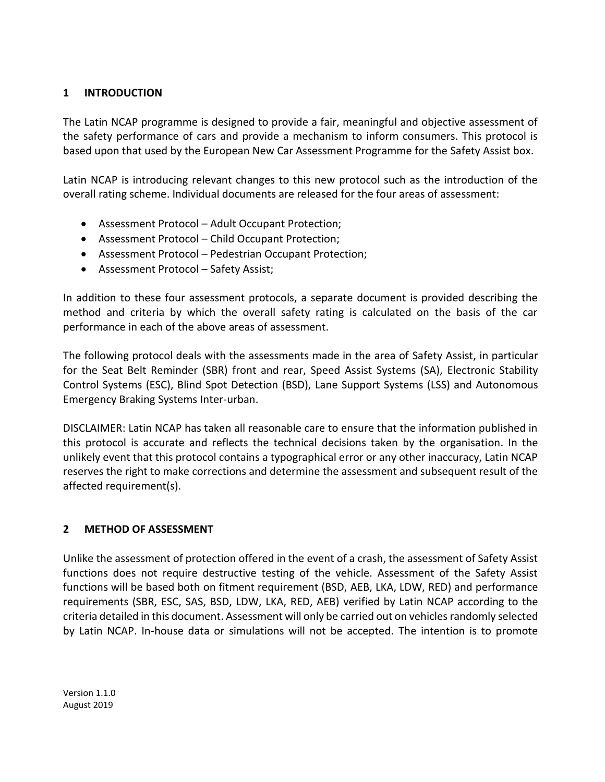# <span id="page-4-0"></span>**1 INTRODUCTION**

The Latin NCAP programme is designed to provide a fair, meaningful and objective assessment of the safety performance of cars and provide a mechanism to inform consumers. This protocol is based upon that used by the European New Car Assessment Programme for the Safety Assist box.

Latin NCAP is introducing relevant changes to this new protocol such as the introduction of the overall rating scheme. Individual documents are released for the four areas of assessment:

- Assessment Protocol Adult Occupant Protection;
- Assessment Protocol Child Occupant Protection;
- Assessment Protocol Pedestrian Occupant Protection;
- Assessment Protocol Safety Assist;

In addition to these four assessment protocols, a separate document is provided describing the method and criteria by which the overall safety rating is calculated on the basis of the car performance in each of the above areas of assessment.

The following protocol deals with the assessments made in the area of Safety Assist, in particular for the Seat Belt Reminder (SBR) front and rear, Speed Assist Systems (SA), Electronic Stability Control Systems (ESC), Blind Spot Detection (BSD), Lane Support Systems (LSS) and Autonomous Emergency Braking Systems Inter-urban.

DISCLAIMER: Latin NCAP has taken all reasonable care to ensure that the information published in this protocol is accurate and reflects the technical decisions taken by the organisation. In the unlikely event that this protocol contains a typographical error or any other inaccuracy, Latin NCAP reserves the right to make corrections and determine the assessment and subsequent result of the affected requirement(s).

# <span id="page-4-1"></span>**2 METHOD OF ASSESSMENT**

Unlike the assessment of protection offered in the event of a crash, the assessment of Safety Assist functions does not require destructive testing of the vehicle. Assessment of the Safety Assist functions will be based both on fitment requirement (BSD, AEB, LKA, LDW, RED) and performance requirements (SBR, ESC, SAS, BSD, LDW, LKA, RED, AEB) verified by Latin NCAP according to the criteria detailed in this document. Assessment will only be carried out on vehicles randomly selected by Latin NCAP. In-house data or simulations will not be accepted. The intention is to promote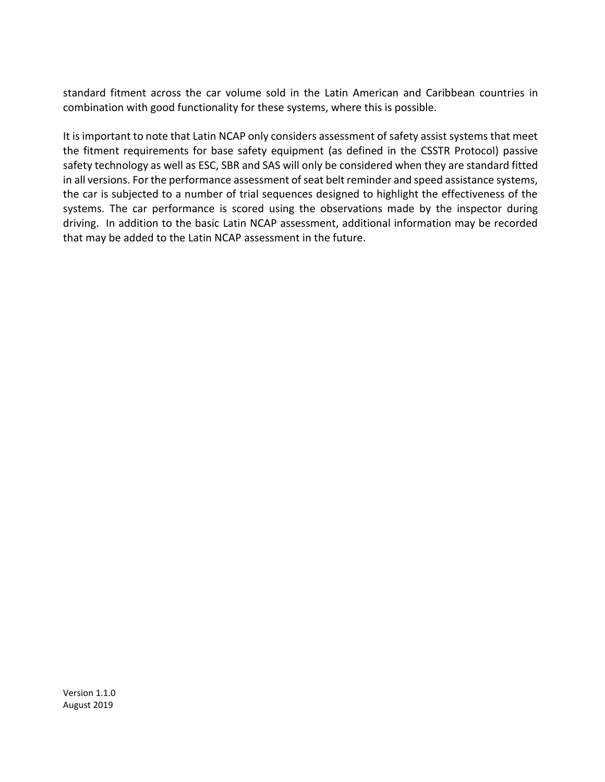standard fitment across the car volume sold in the Latin American and Caribbean countries in combination with good functionality for these systems, where this is possible.

It is important to note that Latin NCAP only considers assessment of safety assist systems that meet the fitment requirements for base safety equipment (as defined in the CSSTR Protocol) passive safety technology as well as ESC, SBR and SAS will only be considered when they are standard fitted in all versions. For the performance assessment of seat belt reminder and speed assistance systems, the car is subjected to a number of trial sequences designed to highlight the effectiveness of the systems. The car performance is scored using the observations made by the inspector during driving. In addition to the basic Latin NCAP assessment, additional information may be recorded that may be added to the Latin NCAP assessment in the future.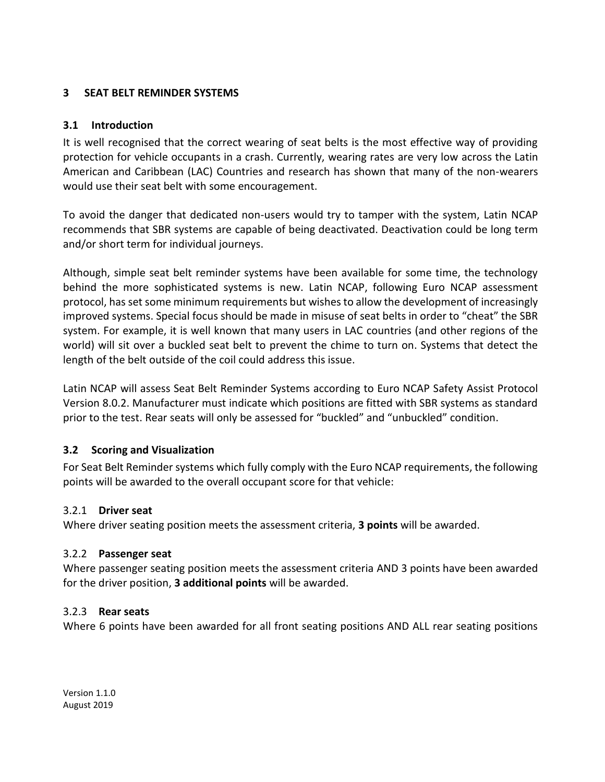#### <span id="page-6-1"></span><span id="page-6-0"></span>**3 SEAT BELT REMINDER SYSTEMS**

#### **3.1 Introduction**

It is well recognised that the correct wearing of seat belts is the most effective way of providing protection for vehicle occupants in a crash. Currently, wearing rates are very low across the Latin American and Caribbean (LAC) Countries and research has shown that many of the non-wearers would use their seat belt with some encouragement.

To avoid the danger that dedicated non-users would try to tamper with the system, Latin NCAP recommends that SBR systems are capable of being deactivated. Deactivation could be long term and/or short term for individual journeys.

Although, simple seat belt reminder systems have been available for some time, the technology behind the more sophisticated systems is new. Latin NCAP, following Euro NCAP assessment protocol, has set some minimum requirements but wishes to allow the development of increasingly improved systems. Special focus should be made in misuse of seat belts in order to "cheat" the SBR system. For example, it is well known that many users in LAC countries (and other regions of the world) will sit over a buckled seat belt to prevent the chime to turn on. Systems that detect the length of the belt outside of the coil could address this issue.

Latin NCAP will assess Seat Belt Reminder Systems according to Euro NCAP Safety Assist Protocol Version 8.0.2. Manufacturer must indicate which positions are fitted with SBR systems as standard prior to the test. Rear seats will only be assessed for "buckled" and "unbuckled" condition.

# <span id="page-6-2"></span>**3.2 Scoring and Visualization**

For Seat Belt Reminder systems which fully comply with the Euro NCAP requirements, the following points will be awarded to the overall occupant score for that vehicle:

#### <span id="page-6-3"></span>3.2.1 **Driver seat**

Where driver seating position meets the assessment criteria, **3 points** will be awarded.

#### <span id="page-6-4"></span>3.2.2 **Passenger seat**

Where passenger seating position meets the assessment criteria AND 3 points have been awarded for the driver position, **3 additional points** will be awarded.

#### <span id="page-6-5"></span>3.2.3 **Rear seats**

Where 6 points have been awarded for all front seating positions AND ALL rear seating positions

Version 1.1.0 August 2019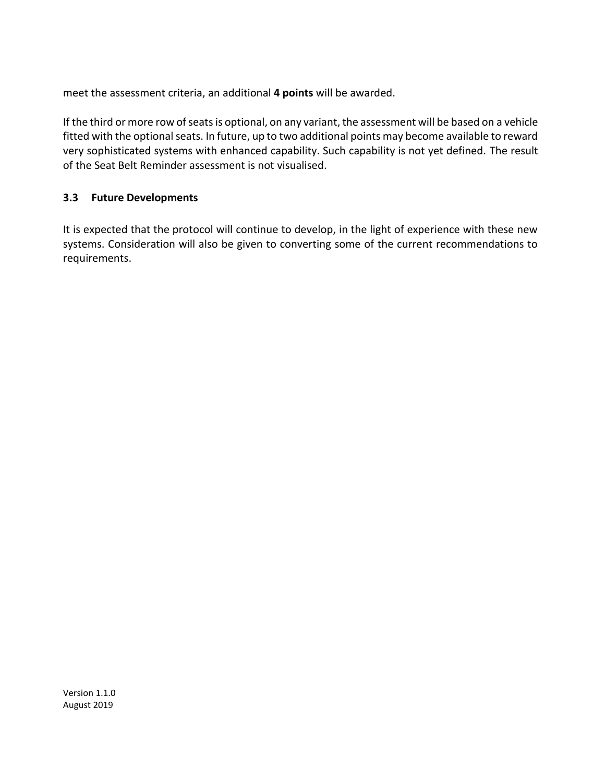<span id="page-7-0"></span>meet the assessment criteria, an additional **4 points** will be awarded.

If the third or more row of seats is optional, on any variant, the assessment will be based on a vehicle fitted with the optional seats. In future, up to two additional points may become available to reward very sophisticated systems with enhanced capability. Such capability is not yet defined. The result of the Seat Belt Reminder assessment is not visualised.

# **3.3 Future Developments**

It is expected that the protocol will continue to develop, in the light of experience with these new systems. Consideration will also be given to converting some of the current recommendations to requirements.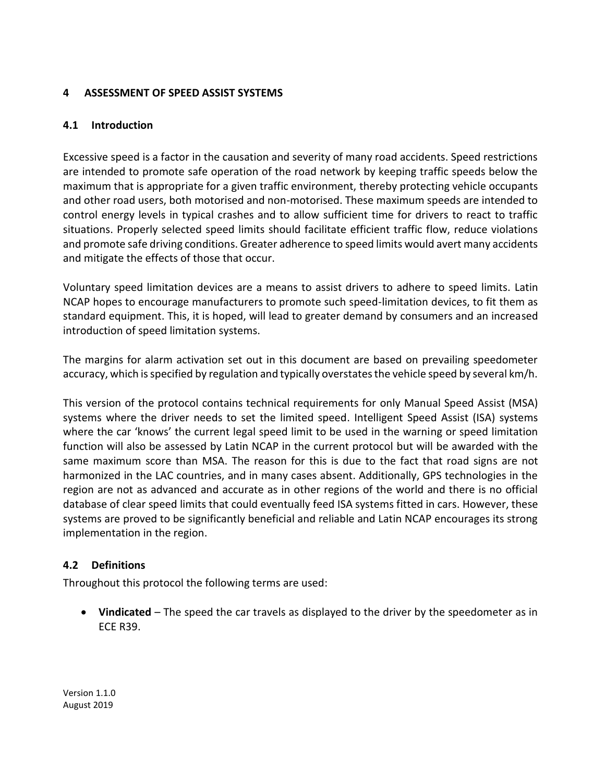#### <span id="page-8-1"></span><span id="page-8-0"></span>**4 ASSESSMENT OF SPEED ASSIST SYSTEMS**

#### **4.1 Introduction**

Excessive speed is a factor in the causation and severity of many road accidents. Speed restrictions are intended to promote safe operation of the road network by keeping traffic speeds below the maximum that is appropriate for a given traffic environment, thereby protecting vehicle occupants and other road users, both motorised and non-motorised. These maximum speeds are intended to control energy levels in typical crashes and to allow sufficient time for drivers to react to traffic situations. Properly selected speed limits should facilitate efficient traffic flow, reduce violations and promote safe driving conditions. Greater adherence to speed limits would avert many accidents and mitigate the effects of those that occur.

Voluntary speed limitation devices are a means to assist drivers to adhere to speed limits. Latin NCAP hopes to encourage manufacturers to promote such speed-limitation devices, to fit them as standard equipment. This, it is hoped, will lead to greater demand by consumers and an increased introduction of speed limitation systems.

The margins for alarm activation set out in this document are based on prevailing speedometer accuracy, which is specified by regulation and typically overstates the vehicle speed by several km/h.

This version of the protocol contains technical requirements for only Manual Speed Assist (MSA) systems where the driver needs to set the limited speed. Intelligent Speed Assist (ISA) systems where the car 'knows' the current legal speed limit to be used in the warning or speed limitation function will also be assessed by Latin NCAP in the current protocol but will be awarded with the same maximum score than MSA. The reason for this is due to the fact that road signs are not harmonized in the LAC countries, and in many cases absent. Additionally, GPS technologies in the region are not as advanced and accurate as in other regions of the world and there is no official database of clear speed limits that could eventually feed ISA systems fitted in cars. However, these systems are proved to be significantly beneficial and reliable and Latin NCAP encourages its strong implementation in the region.

# <span id="page-8-2"></span>**4.2 Definitions**

Throughout this protocol the following terms are used:

 **Vindicated** – The speed the car travels as displayed to the driver by the speedometer as in ECE R39.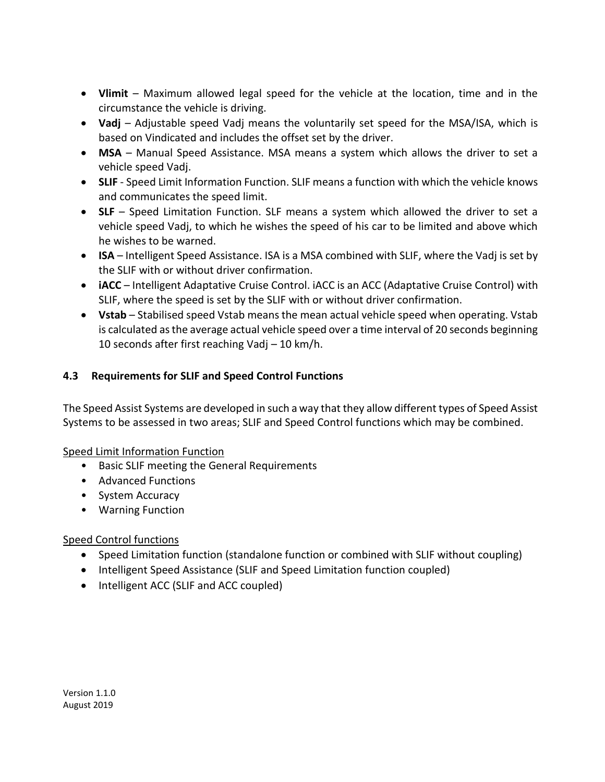- **Vlimit** Maximum allowed legal speed for the vehicle at the location, time and in the circumstance the vehicle is driving.
- **Vadj** Adjustable speed Vadj means the voluntarily set speed for the MSA/ISA, which is based on Vindicated and includes the offset set by the driver.
- **MSA** Manual Speed Assistance. MSA means a system which allows the driver to set a vehicle speed Vadj.
- **SLIF** Speed Limit Information Function. SLIF means a function with which the vehicle knows and communicates the speed limit.
- **SLF**  Speed Limitation Function. SLF means a system which allowed the driver to set a vehicle speed Vadj, to which he wishes the speed of his car to be limited and above which he wishes to be warned.
- **ISA** Intelligent Speed Assistance. ISA is a MSA combined with SLIF, where the Vadj is set by the SLIF with or without driver confirmation.
- **iACC**  Intelligent Adaptative Cruise Control. iACC is an ACC (Adaptative Cruise Control) with SLIF, where the speed is set by the SLIF with or without driver confirmation.
- **Vstab** Stabilised speed Vstab means the mean actual vehicle speed when operating. Vstab is calculated as the average actual vehicle speed over a time interval of 20 seconds beginning 10 seconds after first reaching Vadj – 10 km/h.

# <span id="page-9-0"></span>**4.3 Requirements for SLIF and Speed Control Functions**

The Speed Assist Systems are developed in such a way that they allow different types of Speed Assist Systems to be assessed in two areas; SLIF and Speed Control functions which may be combined.

# Speed Limit Information Function

- Basic SLIF meeting the General Requirements
- Advanced Functions
- System Accuracy
- Warning Function

# Speed Control functions

- Speed Limitation function (standalone function or combined with SLIF without coupling)
- Intelligent Speed Assistance (SLIF and Speed Limitation function coupled)
- Intelligent ACC (SLIF and ACC coupled)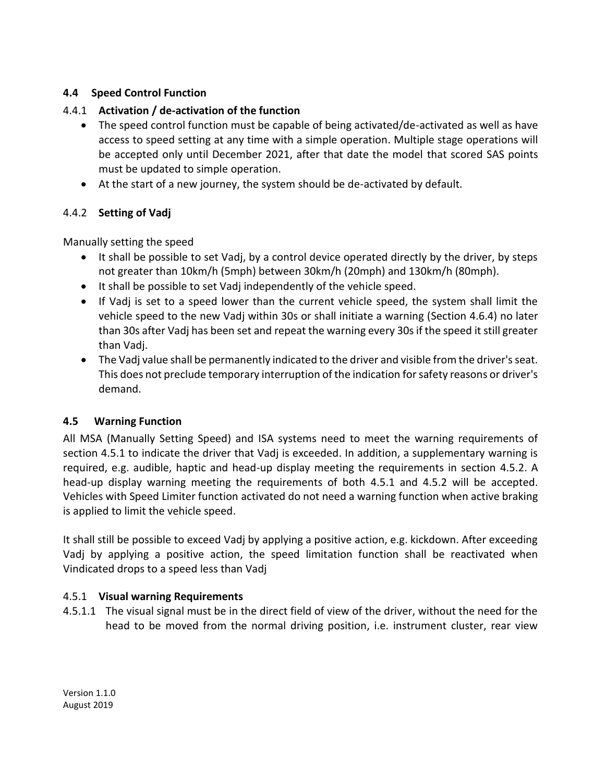# <span id="page-10-0"></span>**4.4 Speed Control Function**

# 4.4.1 **Activation / de-activation of the function**

- <span id="page-10-1"></span> The speed control function must be capable of being activated/de-activated as well as have access to speed setting at any time with a simple operation. Multiple stage operations will be accepted only until December 2021, after that date the model that scored SAS points must be updated to simple operation.
- At the start of a new journey, the system should be de-activated by default.

# <span id="page-10-2"></span>4.4.2 **Setting of Vadj**

Manually setting the speed

- It shall be possible to set Vadj, by a control device operated directly by the driver, by steps not greater than 10km/h (5mph) between 30km/h (20mph) and 130km/h (80mph).
- It shall be possible to set Vadj independently of the vehicle speed.
- If Vadj is set to a speed lower than the current vehicle speed, the system shall limit the vehicle speed to the new Vadj within 30s or shall initiate a warning (Section [4.6.4\)](#page-12-1) no later than 30s after Vadj has been set and repeat the warning every 30s if the speed it still greater than Vadj.
- The Vadj value shall be permanently indicated to the driver and visible from the driver's seat. This does not preclude temporary interruption of the indication for safety reasons or driver's demand.

# <span id="page-10-3"></span>**4.5 Warning Function**

All MSA (Manually Setting Speed) and ISA systems need to meet the warning requirements of section [4.5.1](#page-10-5) to indicate the driver that Vadj is exceeded. In addition, a supplementary warning is required, e.g. audible, haptic and head-up display meeting the requirements in section [4.5.2.](#page-11-3) A head-up display warning meeting the requirements of both [4.5.1](#page-10-5) and [4.5.2](#page-11-3) will be accepted. Vehicles with Speed Limiter function activated do not need a warning function when active braking is applied to limit the vehicle speed.

It shall still be possible to exceed Vadj by applying a positive action, e.g. kickdown. After exceeding Vadj by applying a positive action, the speed limitation function shall be reactivated when Vindicated drops to a speed less than Vadj

# <span id="page-10-5"></span><span id="page-10-4"></span>4.5.1 **Visual warning Requirements**

4.5.1.1 The visual signal must be in the direct field of view of the driver, without the need for the head to be moved from the normal driving position, i.e. instrument cluster, rear view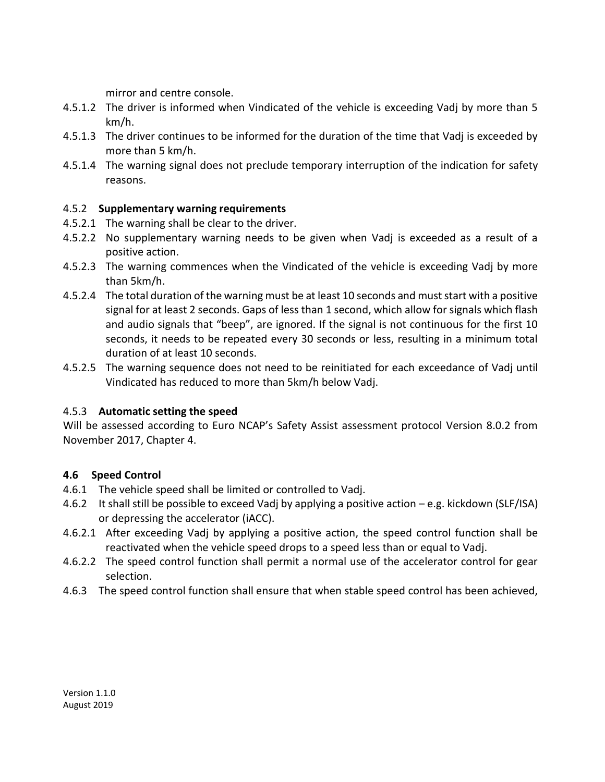mirror and centre console.

- 4.5.1.2 The driver is informed when Vindicated of the vehicle is exceeding Vadj by more than 5 km/h.
- 4.5.1.3 The driver continues to be informed for the duration of the time that Vadj is exceeded by more than 5 km/h.
- 4.5.1.4 The warning signal does not preclude temporary interruption of the indication for safety reasons.

# <span id="page-11-3"></span><span id="page-11-0"></span>4.5.2 **Supplementary warning requirements**

- 4.5.2.1 The warning shall be clear to the driver.
- 4.5.2.2 No supplementary warning needs to be given when Vadj is exceeded as a result of a positive action.
- 4.5.2.3 The warning commences when the Vindicated of the vehicle is exceeding Vadj by more than 5km/h.
- 4.5.2.4 The total duration of the warning must be at least 10 seconds and must start with a positive signal for at least 2 seconds. Gaps of less than 1 second, which allow for signals which flash and audio signals that "beep", are ignored. If the signal is not continuous for the first 10 seconds, it needs to be repeated every 30 seconds or less, resulting in a minimum total duration of at least 10 seconds.
- 4.5.2.5 The warning sequence does not need to be reinitiated for each exceedance of Vadj until Vindicated has reduced to more than 5km/h below Vadj.

# <span id="page-11-1"></span>4.5.3 **Automatic setting the speed**

Will be assessed according to Euro NCAP's Safety Assist assessment protocol Version 8.0.2 from November 2017, Chapter 4.

# <span id="page-11-4"></span><span id="page-11-2"></span>**4.6 Speed Control**

- 4.6.1 The vehicle speed shall be limited or controlled to Vadj.
- 4.6.2 It shall still be possible to exceed Vadj by applying a positive action e.g. kickdown (SLF/ISA) or depressing the accelerator (iACC).
- 4.6.2.1 After exceeding Vadj by applying a positive action, the speed control function shall be reactivated when the vehicle speed drops to a speed less than or equal to Vadj.
- 4.6.2.2 The speed control function shall permit a normal use of the accelerator control for gear selection.
- 4.6.3 The speed control function shall ensure that when stable speed control has been achieved,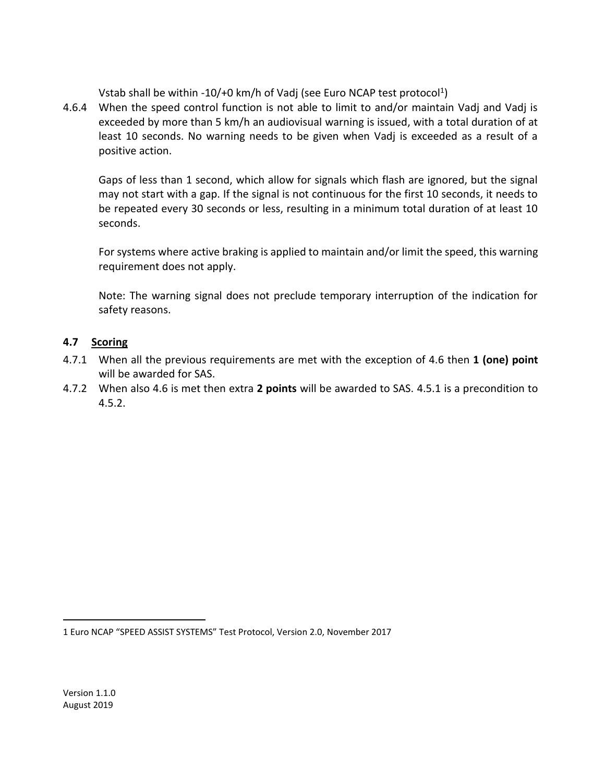Vstab shall be within -10/+0 km/h of Vadj (see Euro NCAP test protocol<sup>1</sup>)

<span id="page-12-1"></span>4.6.4 When the speed control function is not able to limit to and/or maintain Vadj and Vadj is exceeded by more than 5 km/h an audiovisual warning is issued, with a total duration of at least 10 seconds. No warning needs to be given when Vadj is exceeded as a result of a positive action.

Gaps of less than 1 second, which allow for signals which flash are ignored, but the signal may not start with a gap. If the signal is not continuous for the first 10 seconds, it needs to be repeated every 30 seconds or less, resulting in a minimum total duration of at least 10 seconds.

For systems where active braking is applied to maintain and/or limit the speed, this warning requirement does not apply.

Note: The warning signal does not preclude temporary interruption of the indication for safety reasons.

# <span id="page-12-0"></span>**4.7 Scoring**

- 4.7.1 When all the previous requirements are met with the exception of 4.6 then **1 (one) point** will be awarded for SAS.
- 4.7.2 When also [4.6](#page-11-4) is met then extra **2 points** will be awarded to SAS. [4.5.1](#page-10-5) is a precondition to [4.5.2.](#page-11-3)

1 Euro NCAP "SPEED ASSIST SYSTEMS" Test Protocol, Version 2.0, November 2017

 $\overline{a}$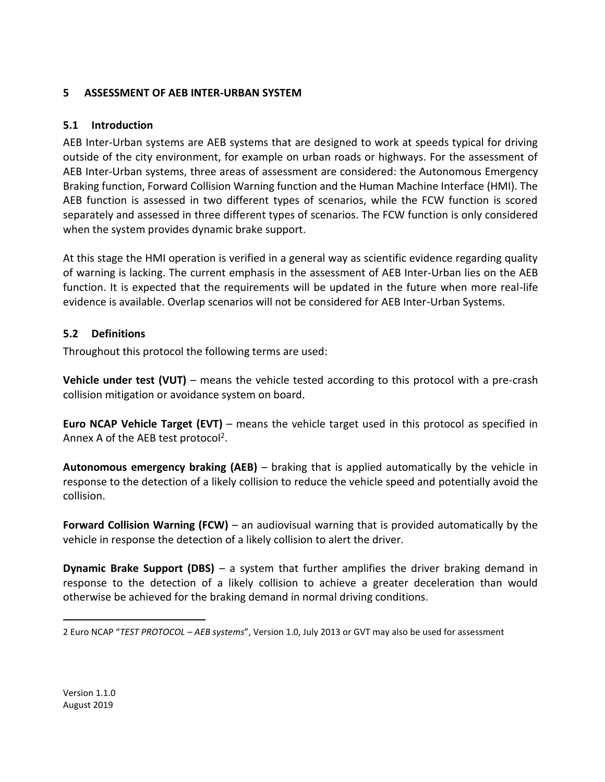# <span id="page-13-1"></span><span id="page-13-0"></span>**5 ASSESSMENT OF AEB INTER-URBAN SYSTEM**

#### **5.1 Introduction**

AEB Inter-Urban systems are AEB systems that are designed to work at speeds typical for driving outside of the city environment, for example on urban roads or highways. For the assessment of AEB Inter-Urban systems, three areas of assessment are considered: the Autonomous Emergency Braking function, Forward Collision Warning function and the Human Machine Interface (HMI). The AEB function is assessed in two different types of scenarios, while the FCW function is scored separately and assessed in three different types of scenarios. The FCW function is only considered when the system provides dynamic brake support.

At this stage the HMI operation is verified in a general way as scientific evidence regarding quality of warning is lacking. The current emphasis in the assessment of AEB Inter-Urban lies on the AEB function. It is expected that the requirements will be updated in the future when more real-life evidence is available. Overlap scenarios will not be considered for AEB Inter-Urban Systems.

# <span id="page-13-2"></span>**5.2 Definitions**

Throughout this protocol the following terms are used:

**Vehicle under test (VUT)** – means the vehicle tested according to this protocol with a pre-crash collision mitigation or avoidance system on board.

**Euro NCAP Vehicle Target (EVT)** – means the vehicle target used in this protocol as specified in Annex A of the AEB test protocol<sup>2</sup>.

**Autonomous emergency braking (AEB)** – braking that is applied automatically by the vehicle in response to the detection of a likely collision to reduce the vehicle speed and potentially avoid the collision.

**Forward Collision Warning (FCW)** – an audiovisual warning that is provided automatically by the vehicle in response the detection of a likely collision to alert the driver.

**Dynamic Brake Support (DBS)** – a system that further amplifies the driver braking demand in response to the detection of a likely collision to achieve a greater deceleration than would otherwise be achieved for the braking demand in normal driving conditions.

 $\overline{a}$ 2 Euro NCAP "*TEST PROTOCOL – AEB systems*", Version 1.0, July 2013 or GVT may also be used for assessment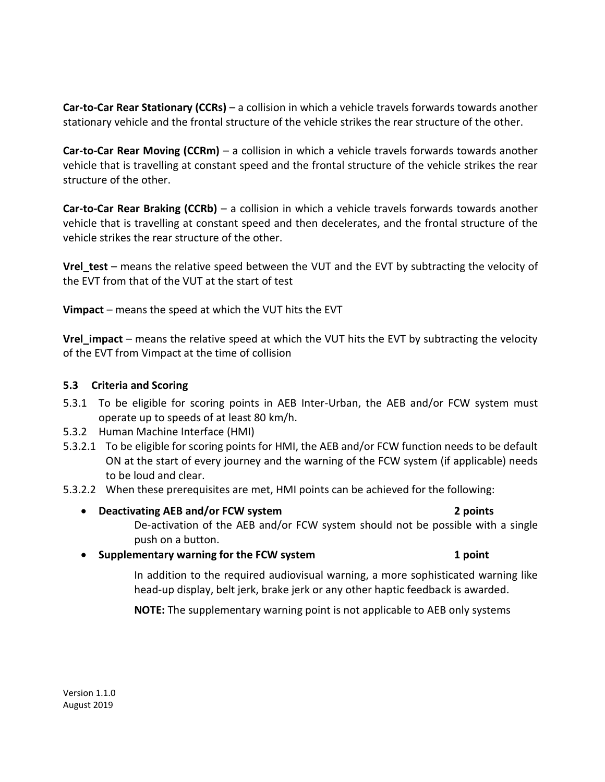**Car-to-Car Rear Stationary (CCRs)** – a collision in which a vehicle travels forwards towards another stationary vehicle and the frontal structure of the vehicle strikes the rear structure of the other.

**Car-to-Car Rear Moving (CCRm)** – a collision in which a vehicle travels forwards towards another vehicle that is travelling at constant speed and the frontal structure of the vehicle strikes the rear structure of the other.

**Car-to-Car Rear Braking (CCRb)** – a collision in which a vehicle travels forwards towards another vehicle that is travelling at constant speed and then decelerates, and the frontal structure of the vehicle strikes the rear structure of the other.

**Vrel\_test** – means the relative speed between the VUT and the EVT by subtracting the velocity of the EVT from that of the VUT at the start of test

**Vimpact** – means the speed at which the VUT hits the EVT

**Vrel\_impact** – means the relative speed at which the VUT hits the EVT by subtracting the velocity of the EVT from Vimpact at the time of collision

#### <span id="page-14-0"></span>**5.3 Criteria and Scoring**

- 5.3.1 To be eligible for scoring points in AEB Inter-Urban, the AEB and/or FCW system must operate up to speeds of at least 80 km/h.
- 5.3.2 Human Machine Interface (HMI)
- 5.3.2.1 To be eligible for scoring points for HMI, the AEB and/or FCW function needs to be default ON at the start of every journey and the warning of the FCW system (if applicable) needs to be loud and clear.
- 5.3.2.2 When these prerequisites are met, HMI points can be achieved for the following:
	- **Deactivating AEB and/or FCW system 2 points**
		-
		- De-activation of the AEB and/or FCW system should not be possible with a single push on a button.
	- **Supplementary warning for the FCW system 1 point**

In addition to the required audiovisual warning, a more sophisticated warning like head-up display, belt jerk, brake jerk or any other haptic feedback is awarded.

**NOTE:** The supplementary warning point is not applicable to AEB only systems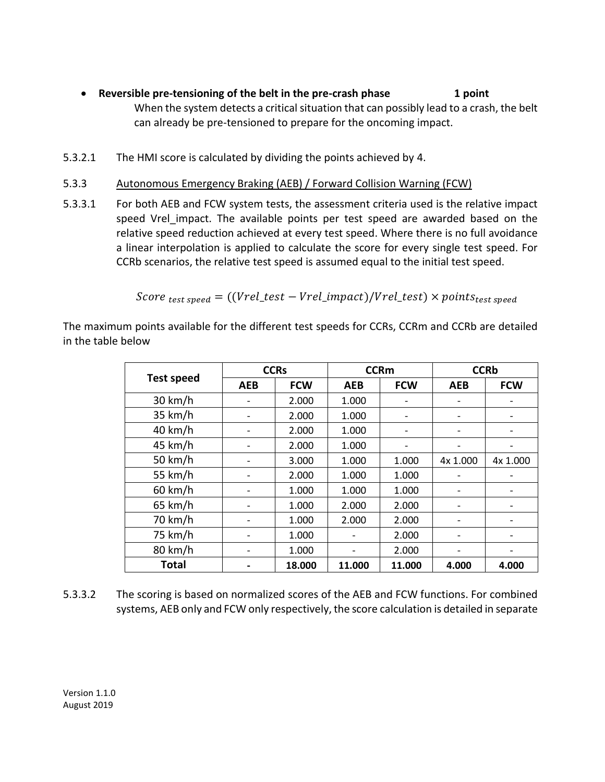- **Reversible pre-tensioning of the belt in the pre-crash phase 1 point** When the system detects a critical situation that can possibly lead to a crash, the belt can already be pre-tensioned to prepare for the oncoming impact.
- 5.3.2.1 The HMI score is calculated by dividing the points achieved by 4.
- 5.3.3 Autonomous Emergency Braking (AEB) / Forward Collision Warning (FCW)
- 5.3.3.1 For both AEB and FCW system tests, the assessment criteria used is the relative impact speed Vrel impact. The available points per test speed are awarded based on the relative speed reduction achieved at every test speed. Where there is no full avoidance a linear interpolation is applied to calculate the score for every single test speed. For CCRb scenarios, the relative test speed is assumed equal to the initial test speed.

$$
Score_{\text{test speed}} = ((Vrel\_test - Vrel\_impact)/Vrel\_test) \times points_{\text{test speed}}
$$

The maximum points available for the different test speeds for CCRs, CCRm and CCRb are detailed in the table below

|                   | <b>CCRs</b>              |            | <b>CCRm</b> |            | <b>CCRb</b>                  |            |
|-------------------|--------------------------|------------|-------------|------------|------------------------------|------------|
| <b>Test speed</b> | <b>AEB</b>               | <b>FCW</b> | <b>AEB</b>  | <b>FCW</b> | <b>AEB</b>                   | <b>FCW</b> |
| 30 km/h           |                          | 2.000      | 1.000       |            |                              |            |
| 35 km/h           |                          | 2.000      | 1.000       |            |                              |            |
| $40 \text{ km/h}$ | $\overline{\phantom{a}}$ | 2.000      | 1.000       |            | $\overline{\phantom{a}}$     |            |
| 45 km/h           |                          | 2.000      | 1.000       |            |                              |            |
| 50 km/h           |                          | 3.000      | 1.000       | 1.000      | 4x 1.000                     | 4x 1.000   |
| 55 km/h           |                          | 2.000      | 1.000       | 1.000      |                              |            |
| $60$ km/h         |                          | 1.000      | 1.000       | 1.000      |                              |            |
| $65$ km/h         |                          | 1.000      | 2.000       | 2.000      |                              |            |
| 70 km/h           |                          | 1.000      | 2.000       | 2.000      | $\qquad \qquad \blacksquare$ |            |
| 75 km/h           | $\overline{\phantom{a}}$ | 1.000      |             | 2.000      |                              |            |
| 80 km/h           |                          | 1.000      |             | 2.000      |                              |            |
| <b>Total</b>      |                          | 18.000     | 11.000      | 11.000     | 4.000                        | 4.000      |

5.3.3.2 The scoring is based on normalized scores of the AEB and FCW functions. For combined systems, AEB only and FCW only respectively, the score calculation is detailed in separate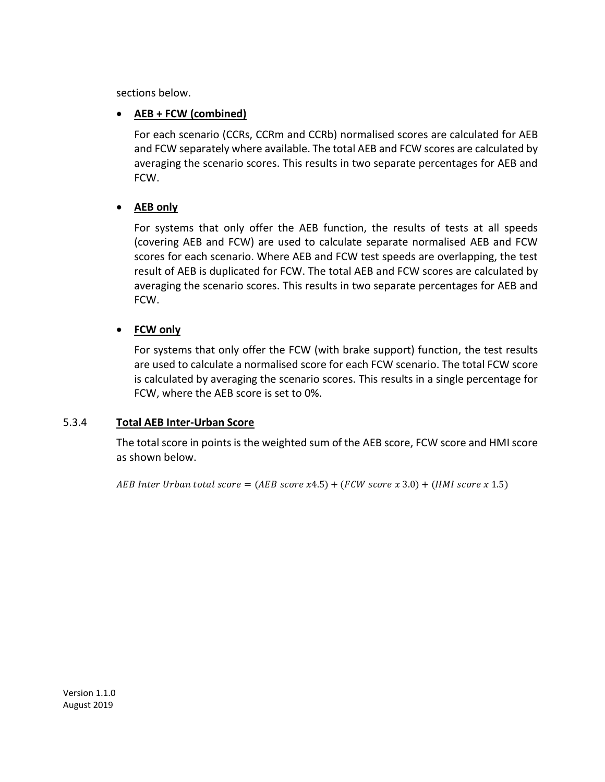sections below.

# **AEB + FCW (combined)**

For each scenario (CCRs, CCRm and CCRb) normalised scores are calculated for AEB and FCW separately where available. The total AEB and FCW scores are calculated by averaging the scenario scores. This results in two separate percentages for AEB and FCW.

# **AEB only**

For systems that only offer the AEB function, the results of tests at all speeds (covering AEB and FCW) are used to calculate separate normalised AEB and FCW scores for each scenario. Where AEB and FCW test speeds are overlapping, the test result of AEB is duplicated for FCW. The total AEB and FCW scores are calculated by averaging the scenario scores. This results in two separate percentages for AEB and FCW.

# **FCW only**

For systems that only offer the FCW (with brake support) function, the test results are used to calculate a normalised score for each FCW scenario. The total FCW score is calculated by averaging the scenario scores. This results in a single percentage for FCW, where the AEB score is set to 0%.

# 5.3.4 **Total AEB Inter-Urban Score**

The total score in points is the weighted sum of the AEB score, FCW score and HMI score as shown below.

AEB Inter Urban total score =  $(AEB \, score \, x4.5) + (FCW \, score \, x \, 3.0) + (HMI \, score \, x \, 1.5)$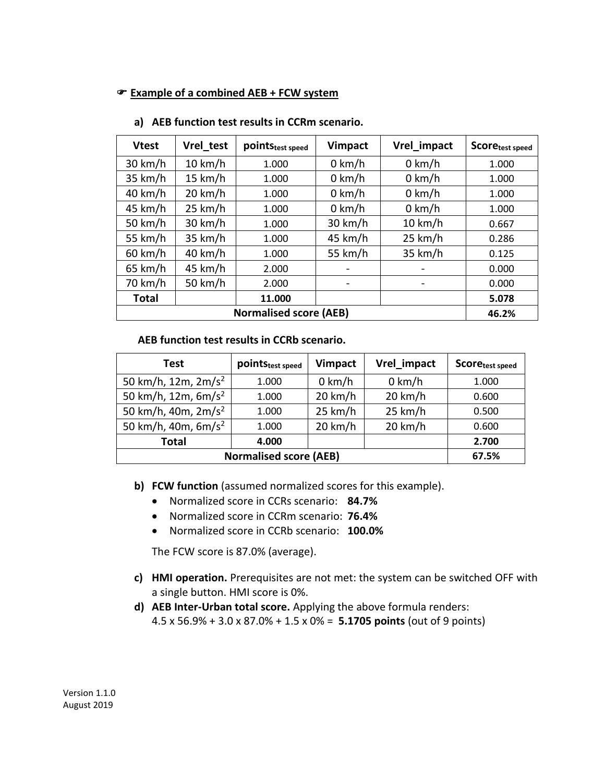#### **Example of a combined AEB + FCW system**

| <b>Vtest</b>      | Vrel test         | point Stest speed | <b>Vimpact</b>           | Vrel_impact              | Scoretest speed |
|-------------------|-------------------|-------------------|--------------------------|--------------------------|-----------------|
| $30 \text{ km/h}$ | $10 \text{ km/h}$ | 1.000             | $0$ km/h                 | $0$ km/h                 | 1.000           |
| 35 km/h           | $15 \text{ km/h}$ | 1.000             | $0$ km/h                 | $0$ km/h                 | 1.000           |
| $40 \text{ km/h}$ | $20 \text{ km/h}$ | 1.000             | $0$ km/h                 | $0$ km/h                 | 1.000           |
| 45 km/h           | 25 km/h           | 1.000             | $0 \text{ km/h}$         | $0$ km/h                 | 1.000           |
| 50 km/h           | $30 \text{ km/h}$ | 1.000             | $30 \text{ km/h}$        | $10 \text{ km/h}$        | 0.667           |
| 55 km/h           | $35 \text{ km/h}$ | 1.000             | 45 km/h                  | 25 km/h                  | 0.286           |
| $60 \text{ km/h}$ | $40 \text{ km/h}$ | 1.000             | 55 km/h                  | 35 km/h                  | 0.125           |
| $65$ km/h         | 45 km/h           | 2.000             |                          |                          | 0.000           |
| 70 km/h           | 50 km/h           | 2.000             | $\overline{\phantom{a}}$ | $\overline{\phantom{a}}$ | 0.000           |
| Total             |                   | 11.000            |                          |                          | 5.078           |
|                   | 46.2%             |                   |                          |                          |                 |

#### **a) AEB function test results in CCRm scenario.**

 **AEB function test results in CCRb scenario.**

| Test                          | point Stest speed | <b>Vimpact</b>    | Vrel impact       | Score <sub>test speed</sub> |
|-------------------------------|-------------------|-------------------|-------------------|-----------------------------|
| 50 km/h, 12m, $2m/s^2$        | 1.000             | $0$ km/h          | $0 \text{ km/h}$  | 1.000                       |
| 50 km/h, 12m, $6m/s^2$        | 1.000             | $20 \text{ km/h}$ | $20 \text{ km/h}$ | 0.600                       |
| 50 km/h, 40m, $2m/s^2$        | 1.000             | 25 km/h           | 25 km/h           | 0.500                       |
| 50 km/h, 40m, $6m/s^2$        | 1.000             | $20 \text{ km/h}$ | $20 \text{ km/h}$ | 0.600                       |
| <b>Total</b>                  | 4.000             |                   |                   | 2.700                       |
| <b>Normalised score (AEB)</b> | 67.5%             |                   |                   |                             |

**b) FCW function** (assumed normalized scores for this example).

- Normalized score in CCRs scenario: **84.7%**
- Normalized score in CCRm scenario: **76.4%**
- Normalized score in CCRb scenario: **100.0%**

The FCW score is 87.0% (average).

- **c) HMI operation.** Prerequisites are not met: the system can be switched OFF with a single button. HMI score is 0%.
- **d) AEB Inter-Urban total score.** Applying the above formula renders: 4.5 x 56.9% + 3.0 x 87.0% + 1.5 x 0% = **5.1705 points** (out of 9 points)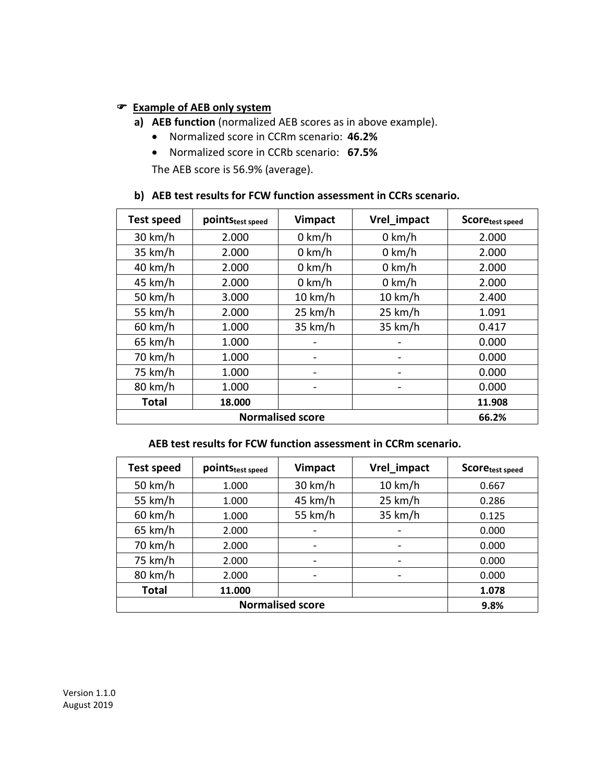#### **Example of AEB only system**

- **a) AEB function** (normalized AEB scores as in above example).
	- Normalized score in CCRm scenario: **46.2%**
	- Normalized score in CCRb scenario: **67.5%**

The AEB score is 56.9% (average).

#### **b) AEB test results for FCW function assessment in CCRs scenario.**

| <b>Test speed</b> | pointStest speed | <b>Vimpact</b>    | Vrel impact      | Scoretest speed |
|-------------------|------------------|-------------------|------------------|-----------------|
| $30 \text{ km/h}$ | 2.000            | $0 \text{ km/h}$  | $0$ km/h         | 2.000           |
| $35 \text{ km/h}$ | 2.000            | $0 \text{ km/h}$  | $0 \text{ km/h}$ | 2.000           |
| $40 \text{ km/h}$ | 2.000            | $0$ km/h          | $0$ km/h         | 2.000           |
| 45 km/h           | 2.000            | $0 \text{ km/h}$  | $0$ km/h         | 2.000           |
| 50 km/h           | 3.000            | $10 \text{ km/h}$ | 10 km/h          | 2.400           |
| 55 km/h           | 2.000            | 25 km/h           | 25 km/h          | 1.091           |
| $60$ km/h         | 1.000            | 35 km/h           | 35 km/h          | 0.417           |
| $65 \text{ km/h}$ | 1.000            |                   |                  | 0.000           |
| 70 km/h           | 1.000            |                   |                  | 0.000           |
| 75 km/h           | 1.000            |                   |                  | 0.000           |
| 80 km/h           | 1.000            |                   |                  | 0.000           |
| <b>Total</b>      | 18.000           |                   |                  | 11.908          |
|                   | 66.2%            |                   |                  |                 |

 **AEB test results for FCW function assessment in CCRm scenario.**

| <b>Test speed</b> | pointStest speed | <b>Vimpact</b>               | Vrel_impact              | <b>Scoretest speed</b> |
|-------------------|------------------|------------------------------|--------------------------|------------------------|
| 50 km/h           | 1.000            | $30 \text{ km/h}$            | $10 \text{ km/h}$        | 0.667                  |
| 55 km/h           | 1.000            | 45 km/h                      | 25 km/h                  | 0.286                  |
| $60 \text{ km/h}$ | 1.000            | 55 km/h                      | 35 km/h                  | 0.125                  |
| 65 km/h           | 2.000            |                              |                          | 0.000                  |
| 70 km/h           | 2.000            | $\qquad \qquad \blacksquare$ | $\overline{\phantom{0}}$ | 0.000                  |
| 75 km/h           | 2.000            |                              | $\overline{\phantom{0}}$ | 0.000                  |
| 80 km/h           | 2.000            |                              |                          | 0.000                  |
| <b>Total</b>      | 11.000           |                              |                          | 1.078                  |
|                   | 9.8%             |                              |                          |                        |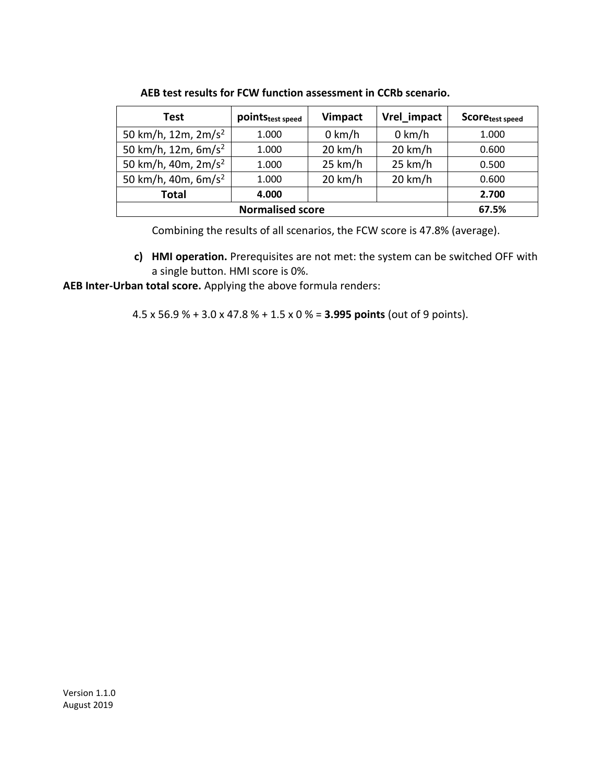| Test                            | point Stest speed | <b>Vimpact</b>    | Vrel_impact       | Scoretest speed |
|---------------------------------|-------------------|-------------------|-------------------|-----------------|
| 50 km/h, 12m, 2m/s <sup>2</sup> | 1.000             | $0$ km/h          | $0$ km/h          | 1.000           |
| 50 km/h, 12m, 6m/s <sup>2</sup> | 1.000             | $20 \text{ km/h}$ | $20 \text{ km/h}$ | 0.600           |
| 50 km/h, 40m, $2m/s^2$          | 1.000             | 25 km/h           | 25 km/h           | 0.500           |
| 50 km/h, 40m, $6m/s^2$          | 1.000             | $20 \text{ km/h}$ | $20 \text{ km/h}$ | 0.600           |
| <b>Total</b>                    | 4.000             |                   |                   | 2.700           |
|                                 | 67.5%             |                   |                   |                 |

 **AEB test results for FCW function assessment in CCRb scenario.**

Combining the results of all scenarios, the FCW score is 47.8% (average).

**c) HMI operation.** Prerequisites are not met: the system can be switched OFF with a single button. HMI score is 0%.

**AEB Inter-Urban total score.** Applying the above formula renders:

4.5 x 56.9 % + 3.0 x 47.8 % + 1.5 x 0 % = **3.995 points** (out of 9 points).

Version 1.1.0 August 2019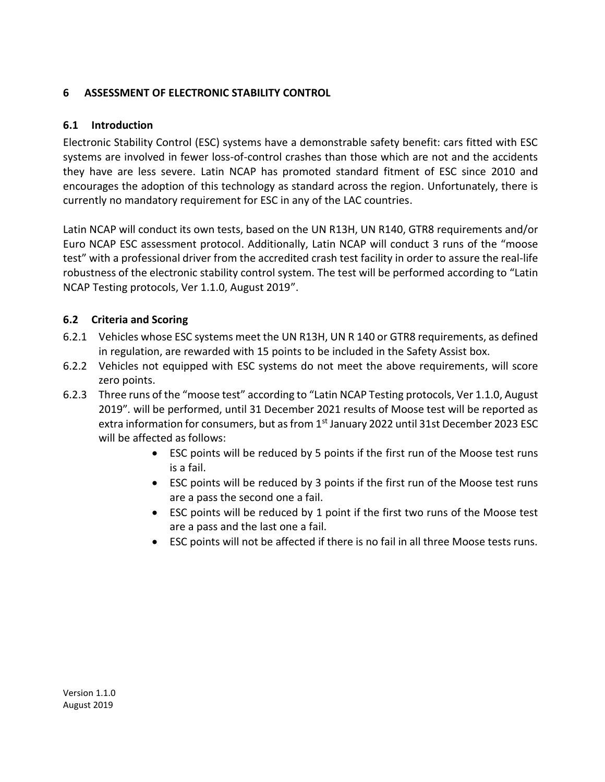# <span id="page-20-1"></span><span id="page-20-0"></span>**6 ASSESSMENT OF ELECTRONIC STABILITY CONTROL**

# **6.1 Introduction**

Electronic Stability Control (ESC) systems have a demonstrable safety benefit: cars fitted with ESC systems are involved in fewer loss-of-control crashes than those which are not and the accidents they have are less severe. Latin NCAP has promoted standard fitment of ESC since 2010 and encourages the adoption of this technology as standard across the region. Unfortunately, there is currently no mandatory requirement for ESC in any of the LAC countries.

Latin NCAP will conduct its own tests, based on the UN R13H, UN R140, GTR8 requirements and/or Euro NCAP ESC assessment protocol. Additionally, Latin NCAP will conduct 3 runs of the "moose test" with a professional driver from the accredited crash test facility in order to assure the real-life robustness of the electronic stability control system. The test will be performed according to "Latin NCAP Testing protocols, Ver 1.1.0, August 2019".

# <span id="page-20-2"></span>**6.2 Criteria and Scoring**

- 6.2.1 Vehicles whose ESC systems meet the UN R13H, UN R 140 or GTR8 requirements, as defined in regulation, are rewarded with 15 points to be included in the Safety Assist box.
- 6.2.2 Vehicles not equipped with ESC systems do not meet the above requirements, will score zero points.
- 6.2.3 Three runs of the "moose test" according to "Latin NCAP Testing protocols, Ver 1.1.0, August 2019"*.* will be performed, until 31 December 2021 results of Moose test will be reported as extra information for consumers, but as from  $1<sup>st</sup>$  January 2022 until 31st December 2023 ESC will be affected as follows:
	- ESC points will be reduced by 5 points if the first run of the Moose test runs is a fail.
	- ESC points will be reduced by 3 points if the first run of the Moose test runs are a pass the second one a fail.
	- ESC points will be reduced by 1 point if the first two runs of the Moose test are a pass and the last one a fail.
	- ESC points will not be affected if there is no fail in all three Moose tests runs.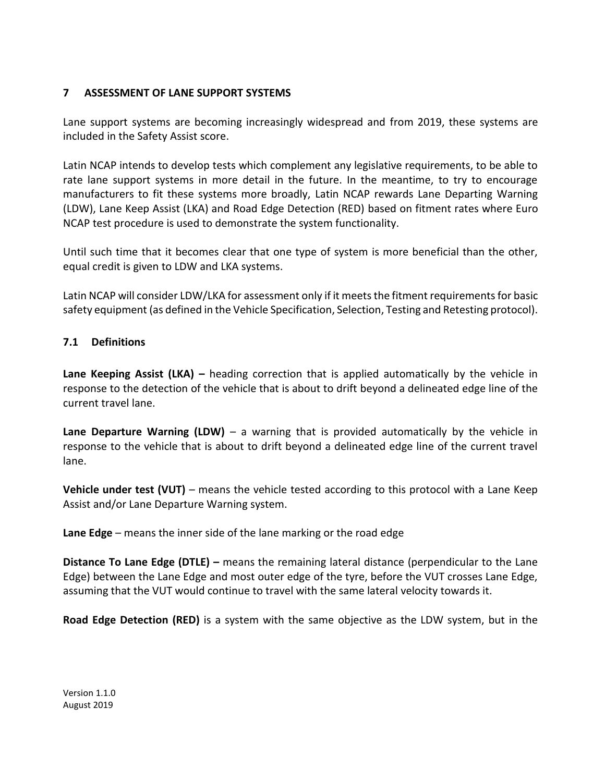#### <span id="page-21-0"></span>**7 ASSESSMENT OF LANE SUPPORT SYSTEMS**

Lane support systems are becoming increasingly widespread and from 2019, these systems are included in the Safety Assist score.

Latin NCAP intends to develop tests which complement any legislative requirements, to be able to rate lane support systems in more detail in the future. In the meantime, to try to encourage manufacturers to fit these systems more broadly, Latin NCAP rewards Lane Departing Warning (LDW), Lane Keep Assist (LKA) and Road Edge Detection (RED) based on fitment rates where Euro NCAP test procedure is used to demonstrate the system functionality.

Until such time that it becomes clear that one type of system is more beneficial than the other, equal credit is given to LDW and LKA systems.

Latin NCAP will consider LDW/LKA for assessment only if it meets the fitment requirements for basic safety equipment (as defined in the Vehicle Specification, Selection, Testing and Retesting protocol).

#### <span id="page-21-1"></span>**7.1 Definitions**

**Lane Keeping Assist (LKA) –** heading correction that is applied automatically by the vehicle in response to the detection of the vehicle that is about to drift beyond a delineated edge line of the current travel lane.

**Lane Departure Warning (LDW)** – a warning that is provided automatically by the vehicle in response to the vehicle that is about to drift beyond a delineated edge line of the current travel lane.

**Vehicle under test (VUT)** – means the vehicle tested according to this protocol with a Lane Keep Assist and/or Lane Departure Warning system.

**Lane Edge** – means the inner side of the lane marking or the road edge

**Distance To Lane Edge (DTLE) –** means the remaining lateral distance (perpendicular to the Lane Edge) between the Lane Edge and most outer edge of the tyre, before the VUT crosses Lane Edge, assuming that the VUT would continue to travel with the same lateral velocity towards it.

**Road Edge Detection (RED)** is a system with the same objective as the LDW system, but in the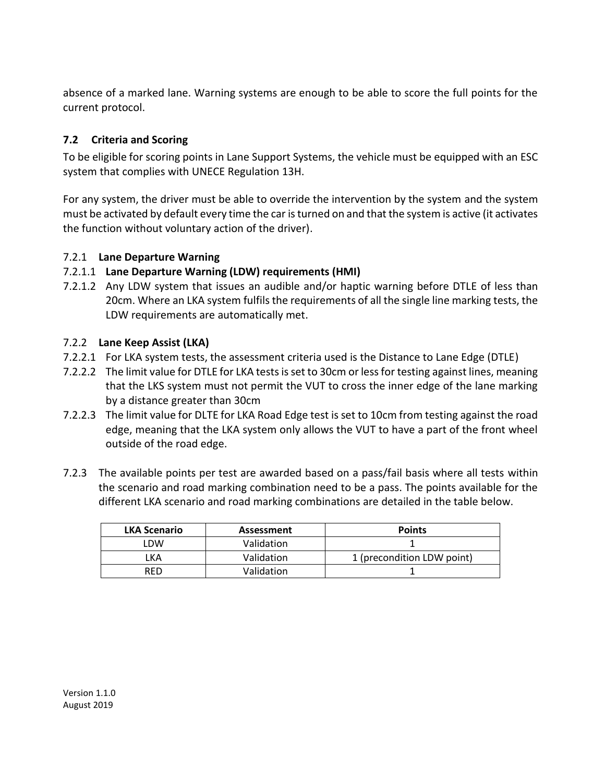absence of a marked lane. Warning systems are enough to be able to score the full points for the current protocol.

# <span id="page-22-0"></span>**7.2 Criteria and Scoring**

To be eligible for scoring points in Lane Support Systems, the vehicle must be equipped with an ESC system that complies with UNECE Regulation 13H.

For any system, the driver must be able to override the intervention by the system and the system must be activated by default every time the car is turned on and that the system is active (it activates the function without voluntary action of the driver).

# <span id="page-22-1"></span>7.2.1 **Lane Departure Warning**

#### 7.2.1.1 **Lane Departure Warning (LDW) requirements (HMI)**

7.2.1.2 Any LDW system that issues an audible and/or haptic warning before DTLE of less than 20cm. Where an LKA system fulfils the requirements of all the single line marking tests, the LDW requirements are automatically met.

#### <span id="page-22-2"></span>7.2.2 **Lane Keep Assist (LKA)**

- 7.2.2.1 For LKA system tests, the assessment criteria used is the Distance to Lane Edge (DTLE)
- 7.2.2.2 The limit value for DTLE for LKA tests is set to 30cm or less for testing against lines, meaning that the LKS system must not permit the VUT to cross the inner edge of the lane marking by a distance greater than 30cm
- 7.2.2.3 The limit value for DLTE for LKA Road Edge test is set to 10cm from testing against the road edge, meaning that the LKA system only allows the VUT to have a part of the front wheel outside of the road edge.
- 7.2.3 The available points per test are awarded based on a pass/fail basis where all tests within the scenario and road marking combination need to be a pass. The points available for the different LKA scenario and road marking combinations are detailed in the table below.

| <b>LKA Scenario</b> | Assessment | <b>Points</b>              |
|---------------------|------------|----------------------------|
| ∟DW                 | Validation |                            |
| _KA                 | Validation | 1 (precondition LDW point) |
| RFD                 | Validation |                            |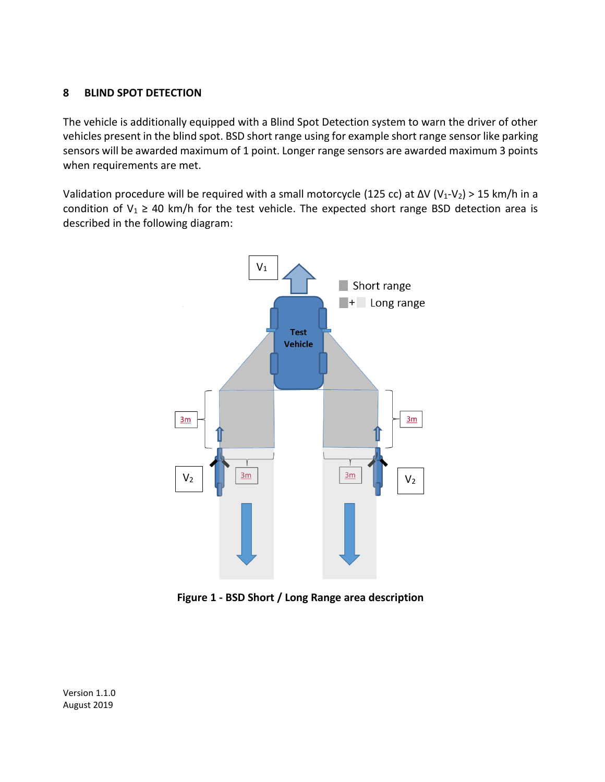#### <span id="page-23-0"></span>**8 BLIND SPOT DETECTION**

The vehicle is additionally equipped with a Blind Spot Detection system to warn the driver of other vehicles present in the blind spot. BSD short range using for example short range sensor like parking sensors will be awarded maximum of 1 point. Longer range sensors are awarded maximum 3 points when requirements are met.

Validation procedure will be required with a small motorcycle (125 cc) at  $\Delta V$  (V<sub>1</sub>-V<sub>2</sub>) > 15 km/h in a condition of  $V_1 \geq 40$  km/h for the test vehicle. The expected short range BSD detection area is described in the following diagram:



**Figure 1 - BSD Short / Long Range area description**